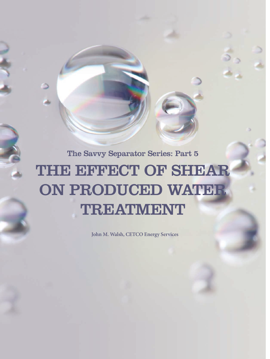# The Savvy Separator Series: Part 5<br>THE EFFECT OF SHEAR ON PRODUCED WATER. TREATMENT TREATMENT PARTIES

**John M. Walsh, CETCO Energy Services**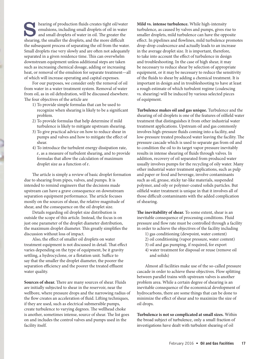hearing of production fluids creates tight oil/water emulsions, including small droplets of oil in water and small droplets of water in oil. The greater the shearing, the smaller the droplets, and the more difficult the subsequent process of separating the oil from the water. Small droplets rise very slowly and are often not adequately separated in a given residence time. This can overwhelm downstream equipment unless additional steps are taken such as increasing chemical dosage, adding or increasing heat, or removal of the emulsion for separate treatment—all of which will increase operating and capital expenses.

For our purposes, we consider only the removal of oil from water in a water treatment system. Removal of water from oil, as in oil dehydration, will be discussed elsewhere. The four objectives of the article are

- 1) To provide simple formulas that can be used to recognize when shearing is likely to be a signicant problem.
- 2) To provide formulas that help determine if mild turbulence is likely to mitigate upstream shearing.
- 3) To give practical advice on how to reduce shear in pumps and valves and how to mitigate the effect of shear.
- 4) To introduce the turbulent energy dissipation rate,  $\varepsilon$ , as a measure of turbulent shearing, and to provide formulas that allow the calculation of maximum droplet size as a function of  $ε$ .

The article is simply a review of basic droplet formation due to shearing from pipes, valves, and pumps. It is intended to remind engineers that the decisions made upstream can have a grave consequence on downstream separation equipment performance. The article focuses mostly on the sources of shear, the relative magnitude of shear, and the consequence on the oil droplet size.

Details regarding oil droplet size distribution is outside the scope of this article. Instead, the focus is on just one parameter of the droplet diameter distribution, the maximum droplet diameter. This greatly simplifies the discussion without loss of impact.

Also, the effect of smaller oil droplets on water treatment equipment is not discussed in detail. That effect varies depending on the type of equipment, be it gravity settling, a hydrocyclone, or a flotation unit. Suffice to say that the smaller the droplet diameter, the poorer the separation efficiency and the poorer the treated effluent water quality.

**Sources of shear.** There are many sources of shear. Fluids are initially subjected to shear in the reservoir, near the wellbore, where pressure drops and the narrowing radius of the flow creates an acceleration of fluid. Lifting techniques, if they are used, such as electrical submersible pumps, create turbulence to varying degrees. The wellhead choke is another, sometimes intense, source of shear. The list goes on and includes the control valves and pumps used in the facility itself.

**Mild vs. intense turbulence.** While high-intensity turbulence, as caused by valves and pumps, gives rise to smaller droplets, mild turbulence can have the opposite effect. In pipelines and flowlines, mild turbulence promotes drop-drop coalescence and actually leads to an increase in the average droplet size. It is important, therefore, to take into account the effect of turbulence in design and troubleshooting. In the case of high shear, it may be necessary to reduce shear by selection of appropriate equipment, or it may be necessary to reduce the sensitivity of the fluids to shear by adding a chemical treatment. It is important in design and in troubleshooting to have at least a rough estimate of which turbulent regime (coalescing vs. shearing) will be induced by various selected pieces of equipment.

**Turbulence makes oil and gas unique.** Turbulence and the shearing of oil droplets is one of the features of oilfield water treatment that distinguishes it from other industrial water treatment applications. Upstream oil and gas commonly involves high-pressure fluids coming into a facility, and low-pressure treated produced water leaving the facility. The pressure cascade which is used to separate gas from oil and to condition the oil to its target vapor pressure inevitably results in intense shearing of fluids through valves. In addition, recovery of oil separated from produced water usually involves pumps for the recycling of oily water. Many other industrial water treatment applications, such as pulp and paper or food and beverage, involve contaminants such as oil, grease, sticky tar-like materials, suspended polymer, and oily or polymer-coated solids particles. But oilfield water treatment is unique in that it involves all of those difficult contaminants with the added complication of shearing.

**The inevitability of shear.** To some extent, shear is an inevitable consequence of processing conditions. Fluid pressure and flow rate must be controlled through a facility in order to achieve the objectives of the facility including

- 1) gas conditioning (dewpoint, water content)
- 2) oil conditioning (vapor pressure, water content)
- 3) oil and gas pumping, if required, for export
- 4) water treatment for disposal or reuse (remove oil and solids)

Almost all facilities make use of the so-called pressure cascade in order to achieve these objectives. Flow splitting between parallel trains with upstream valves is another problem area. While a certain degree of shearing is an inevitable consequence of the economical development of hydrocarbons, there are some things that can be done to minimize the effect of shear and to maximize the size of oil drops.

**Turbulence is not so complicated at small sizes.** Within the broad subject of turbulence, only a small fraction of investigations have dealt with turbulent shearing of oil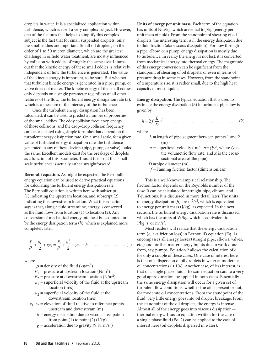droplets in water. It is a specialized application within turbulence, which is itself a very complex subject. However, one of the features that helps to simplify this complex subject is the fact that for small suspended droplets, only the small eddies are important. Small oil droplets, on the order of 1 to 50 micron diameter, which are the greatest challenge in oilfield water treatment, are mostly influenced by collision with eddies of roughly the same size. It turns out that the kinetic energy of these small eddies is relatively independent of how the turbulence is generated. The value of the kinetic energy is important, to be sure. But whether that turbulent kinetic energy is generated in a pipe, pump, or valve does not matter. The kinetic energy of the small eddies only depends on a single parameter regardless of all other features of the flow, the turbulent energy dissipation rate  $(\varepsilon)$ , which is a measure of the intensity of the turbulence.

Once the turbulent energy dissipation has been calculated, it can be used to predict a number of properties of the small eddies. The eddy collision frequency, energy of those collisions, and the drop-drop collision frequency can be calculated using simple formulas that depend on the turbulent energy dissipation rate. On a small scale, for a given value of turbulent energy dissipation rate, the turbulence generated in any of these devices (pipe, pump, or valve) looks the same. Excellent models exist for the breakage of droplets as a function of this parameter. Thus, it turns out that smallscale turbulence is actually rather straightforward.

**Bernoulli equation.** As might be expected, the Bernoulli energy equation can be used to derive practical equations for calculating the turbulent energy dissipation rate. The Bernoulli equation is written here with subscript (1) indicating the upstream location, and subscript (2) indicating the downstream location. What this equation says is that, along a fluid streamline, energy is conserved as the fluid flows from location  $(1)$  to location  $(2)$ . Any conversion of mechanical energy into heat is accounted for by the energy dissipation term  $(h)$ , which is explained more completely later.

$$
\frac{P_1}{\rho} + \frac{u_1^2}{2} + gz_1 = \frac{P_2}{\rho} + \frac{u_2^2}{2} + gz_2 + h \dots \dots \dots \dots \dots \dots \tag{1}
$$

where

 $\rho$  = density of the fluid (kg/m<sup>3</sup>)  $P_1$  = pressure at upstream location (N/m<sup>2</sup>)  $P_2$  = pressure at downstream location (N/m<sup>2</sup>)  $u_1$  = superficial velocity of the fluid at the upstream  $location(m/s)$  $u_2$  = superficial velocity of the fluid at the downstream location (m/s)  $z_1$ ,  $z_2$  = elevation of fluid relative to reference points upstream and downstream (m)  $h$  = energy dissipation due to viscous dissipation from point (1) to point (2)  $(J/kg)$  $g =$  acceleration due to gravity (9.81 m/s<sup>2</sup>)

**Units of energy per unit mass.** Each term of the equation has units of Nm/kg, which are equal to J/kg (energy per unit mass of fluid). From the standpoint of shearing of oil droplets, the interesting term is  $h$ , the energy dissipation due to fluid friction (aka viscous dissipation). For flow through a pipe, elbow, or a pump, energy dissipation is mostly due to turbulence. In reality the energy is not lost, it is converted from mechanical energy into thermal energy. The magnitude of this energy conversion can be significant from the standpoint of shearing of oil droplets, or even in terms of pressure drop in some cases. However, from the standpoint of temperature rise, it is rather small, due to the high heat capacity of most liquids.

**Energy dissipation.** The typical equation that is used to estimate the energy dissipation  $(h)$  in turbulent pipe flow is given by

<sup>2</sup> 2 *u D <sup>L</sup>* <sup>=</sup> *fh* . . . . . . . . . . . . . . . . . . . . . . . . . . . . . . . . (2)

where

- $L =$ length of pipe segment between points 1 and 2  $(m)$
- $u$  = superficial velocity ( m/s;  $u = Q/A$ , where *Q* is the volumetric flow rate, and *A* is the crosssectional area of the pipe)

$$
D
$$
 = pipe diameter (m)

 $f$  = Fanning friction factor (dimensionless)

This is a well-known empirical relationship. The friction factor depends on the Reynolds number of the flow. It can be calculated for straight pipe, elbows, and T-junctions. It is discussed in more detail later. The units of energy dissipation (*h*) are  $m^2/s^2$ , which is equivalent to energy per unit mass (J/kg), as expected. In the next section, the turbulent energy dissipation rate is discussed, which has the units of W/kg, which is equivalent to J/kg⋅s, or m<sup>2</sup>/s<sup>3</sup>.

Most readers will realize that the energy dissipation term (h, aka friction loss) in Bernoulli's equation (Eq. 1) encompasses all energy losses (straight pipe, elbows, valves, etc.) and for that matter energy inputs due to work done from, say, pumps. Equation 2 allows the calculation of  $h$ for only a couple of these cases. One case of interest here is that of a dispersion of oil droplets in water at moderate oil concentrations (<1%). Another case, of less interest, is that of a single phase fluid. The same equation can, to a very good approximation, be applied in both cases. Essentially the same energy dissipation will occur for a given set of turbulent flow conditions, whether the oil is present or not, for moderate oil concentrations. From the standpoint of the fluid, very little energy goes into oil droplet breakage. From the standpoint of the oil droplets, the energy is intense. Almost all of the energy goes into viscous dissipation thermal energy. Thus an equation written for the case of a single phase fluid (Eq. 2) can be applied to the case of interest here (oil droplets dispersed in water).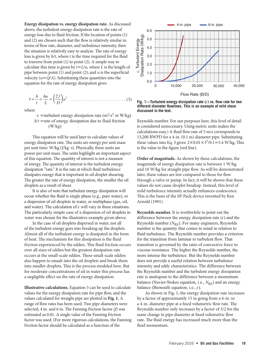**Energy dissipation vs. energy dissipation rate.** As discussed above, the turbulent energy dissipation rate is the rate of energy loss due to fluid friction. If the location of points (1) and  $(2)$  are chosen such that the flow is relatively similar in terms of flow rate, diameter, and turbulence intensity, then the situation is relatively easy to analyze. The rate of energy loss is given by  $h/t$ , where t is the time required for the fluid to traverse from point (1) to point (2). A simple way to calculate this time is given by  $t = L/u$ , where L is the length of pipe between point (1) and point (2); and  $u$  is the superficial velocity  $(u=Q/A)$ . Substituting these quantities into the equation for the rate of energy dissipation gives

<sup>2</sup> <sup>3</sup> *<sup>u</sup> D f L hu t h* <sup>ε</sup> === ( ) . . . . . . . . . . . . . . . . . . . . . . . . . (3)

where

 $\varepsilon$  =turbulent energy dissipation rate (m<sup>2</sup>/s<sup>3</sup> or W/kg)  $h/t$  =rate of energy dissipation due to fluid friction  $(W/kg)$ 

This equation will be used later to calculate values of energy dissipation rate. The units are energy per unit mass per unit time: W/kg (J/kg⋅s). Physically, these units are power per unit mass. The units highlight an important aspect of this equation. The quantity of interest is not a measure of energy. The quantity of interest is the turbulent energy dissipation "rate." It is the rate at which fluid turbulence dissipates energy that is important in oil droplet shearing. The greater the rate of energy dissipation, the smaller the oil droplets as a result of shear.

It is also of note that turbulent energy dissipation will occur whether the fluid is single phase (e.g., pure water), or a dispersion of oil droplets in water, or multiphase (gas, oil, and water). The calculation of  $\varepsilon$  will vary in these situations. The particularly simple case of a dispersion of oil droplets in water was chosen for the illustrative example given above.

In the case of oil droplets dispersed in water, not all of the turbulent energy goes into breaking up the droplets. Almost all of the turbulent energy is dissipated in the form of heat. The mechanism for this dissipation is the fluid friction experienced by the eddies. This fluid friction occurs over all sizes of eddies but the greatest dissipation rate occurs at the small-scale eddies. These small-scale eddies also happen to smash into the oil droplets and break them into smaller droplets. This is the process modeled here. But for moderate concentrations of oil in water this process has a negligible effect on the rate of energy dissipation.

**Illustrative calculations.** Equation 3 can be used to calculate values for the energy dissipation rate for pipe flow, and the values calculated for straight pipe are plotted in **Fig. 1.** A range of flow rates has been used. Two pipe diameters were selected, 4 in. and 6 in. The Fanning friction factor  $(f)$  was estimated as 0.01. A single value of the Fanning friction factor was used. (For more rigorous calculations, the Fanning friction factor should be calculated as a function of the



Flow Rate (B/D)

**Fig. 1—Turbulent energy dissipation rate (**ε**) vs. flow rate for two different diameter flowlines. This is an example of mild shear discussed in the text.**

Reynolds number. For our purposes here, this level of detail is considered unnecessary. Using metric units makes the calculations easy.) A fluid flow rate of 3 m/s corresponds to 13,200 BWPD for a 4-in. (0.1 m) diameter pipe. Substituting these values into Eq. 3 gives:  $2 \times 0.01 \times 3^3 / 0.1 = 5.4$  W/kg. This is the value in the figure (red line).

**Order of magnitude.** As shown by these calculations, the magnitude of energy dissipation rate is between 1 W/kg and 10 W/kg for straight pipe flow. As will be demonstrated later, these values are low compared to those for flow through a valve or pump. In fact, it will be shown that these values do not cause droplet breakup. Instead, this level of mild turbulence intensity actually enhances coalescence. This is the basis of the SP-Pack device invented by Ken Arnold (1991).

**Reynolds number.** It is worthwhile to point out the difference between the energy dissipation rate  $(\varepsilon)$  and the Reynolds number  $(N_{\text{RF}})$ . For many engineers, Reynolds number is the quantity that comes to mind in relation to fluid turbulence. The Reynolds number provides a criterion for the transition from laminar to turbulent flow. That transition is governed by the ratio of convective force to viscous resistance. The higher the Reynolds number, the more intense the turbulence. But the Reynolds number does not provide a useful relation between turbulence intensity and eddy characteristics. The difference between the Reynolds number and the turbulent energy dissipation rate is analogous to the difference between a momentum balance (Navier-Stokes equation, i.e., N<sub>RE</sub>) and an energy balance (Bernoulli equation, i.e.,  $\varepsilon$ ).

As shown in Fig. 1, the energy dissipation rate increases by a factor of approximately 15 in going from a 6-in. to a 4-in. diameter pipe at a fixed volumetric flow rate. The Reynolds number only increases by a factor of 3/2 for the same change in pipe diameter at fixed volumetric flow rate. The fluid energy has increased much more than the fluid momentum.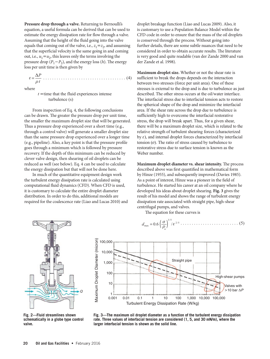**Pressure drop through a valve.** Returning to Bernoulli's equation, a useful formula can be derived that can be used to estimate the energy dissipation rate for flow through a valve. Assuming that the height of the fluid going into the valve equals that coming out of the valve, i.e.,  $z_1 = z_2$ , and assuming that the superficial velocity is the same going in and coming out, i.e.,  $u_1 = u_2$ , this leaves only the terms involving the pressure drop ( $P_1-P_2$ ), and the energy loss (h). The energy loss per unit time is then given by

*t*  $\epsilon = \frac{\Delta P}{\rho t}$ . . . . . . . . . . . . . . . . . . . . . . . . . . . . . . . . . . . . . (4)

where

 $t =$ time that the fluid experiences intense turbulence (s)

From inspection of Eq. 4, the following conclusions can be drawn. The greater the pressure drop per unit time, the smaller the maximum droplet size that will be generated. Thus a pressure drop experienced over a short time (e.g., through a control valve) will generate a smaller droplet size than the same pressure drop experienced over a longer time (e.g., pipeline). Also, a key point is that the pressure profile goes through a minimum which is followed by pressure recovery. If the depth of this minimum can be reduced by clever valve design, then shearing of oil droplets can be reduced as well (see below). Eq. 4 can be used to calculate the energy dissipation but that will not be done here.

In much of the quantitative equipment design work the turbulent energy dissipation rate is calculated using computational fluid dynamics (CFD). When CFD is used, it is customary to calculate the entire droplet diameter distribution. In order to do this, additional models are required for the coalescence rate (Liao and Lucas 2010) and

droplet breakage function (Liao and Lucas 2009). Also, it is customary to use a Population Balance Model within the CFD code in order to ensure that the mass of the oil droplets is conserved through the process. Without going into further details, there are some subtle nuances that need to be considered in order to obtain accurate results. The literature is very good and quite readable (van der Zande 2000 and van der Zande et al. 1998).

**Maximum droplet size.** Whether or not the shear rate is sufficient to break the drops depends on the interaction between two stresses (force per unit area). One of these stresses is external to the drop and is due to turbulence as just described. The other stress occurs at the oil/water interface. The interfacial stress due to interfacial tension acts to restore the spherical shape of the drop and minimize the interfacial area. If the shear rate across the drop due to turbulence is sufficiently high to overcome the interfacial restorative stress, the drop will break apart. Thus, for a given shear, there will be a maximum droplet size, which is related to the relative strength of turbulent shearing forces (characterized by  $\varepsilon$ ), and internal droplet forces characterized by interfacial tension  $(\sigma)$ . The ratio of stress caused by turbulence to restorative stress due to surface tension is known as the Weber number.

**Maximum droplet diameter vs. shear intensity.** The process described above was first quantified in mathematical form by Hinze (1955), and subsequently improved (Davies 1985). As a point of interest, Hinze was a pioneer in the field of turbulence. He started his career at an oil company where he developed his ideas about droplet shearing. **Fig. 3** gives the result of his model and shows the range of turbulent energy dissipation rate associated with straight pipe, high-shear centrifugal pumps, and valves.

The equation for these curves is





**schematically in a globe type control valve.**



**Fig. 3—The maximum oil droplet diameter as a function of the turbulent energy dissipation rate. Three values of interfacial tension are considered (1, 5, and 30 mN/m), where the larger interfacial tension is shown as the solid line.**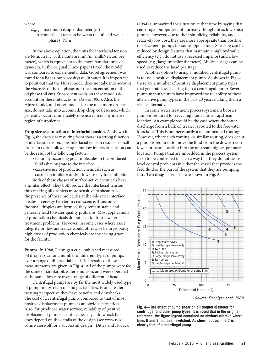### where

- $d_{\text{max}}$  =maximum droplet diameter (m)
	- $\sigma$  = interfacial tension between the oil and water phases (N/m)

In the above equation, the units for interfacial tension are  $N/m$ . In Fig. 3, the units are  $mN/m$  (milliNewton per meter), which is equivalent to the more familiar units of dyne/cm. In the original Hinze paper (1955), the model was compared to experimental data. Good agreement was found for a light (low-viscosity) oil in water. It is important to point out that the Hinze model does not take into account the viscosity of the oil phase, nor the concentration of the oil phase (oil cut). Subsequent work on these models do account for these interactions (Davies 1985). Also, the Hinze model, and other models for the maximum droplet size, do not take into account drop-drop coalescence, which generally occurs immediately downstream of any intense region of turbulence.

**Drop size as a function of interfacial tension.** As shown in Fig. 3, the drop size resulting from shear is a strong function of interfacial tension. Low interfacial tension results in small drops. In typical oil/water systems, low interfacial tension can be the result of the following factors:

- naturally occurring polar molecules in the produced fluids that migrate to the interface
- excessive use of production chemicals such as corrosion inhibitor and/or low dose hydrate inhibitor

Both of these classes of surface active chemicals have a similar effect. They both reduce the interfacial tension, thus making oil droplets more sensitive to shear. Also, the presence of these molecules at the oil/water interface creates an energy barrier to coalescence. Thus, once the small droplets are formed, they remain stable and generally lead to water quality problems. Most applications of production chemicals do not lead to drastic water treatment problems. However, in some cases where asset integrity or flow assurance would otherwise be in jeopardy, high doses of production chemicals are the saving grace for the facility.

**Pumps.** In 1988, Flannigan et al. published measured oil droplet size for a number of different types of pumps over a range of differential head. The results of these measurements are given in **Fig. 4.** All of the pumps were fed the same or similar oil/water emulsion, and were operated at the same flow rate over a range of differential head.

Centrifugal pumps are by far the most widely used type of pump in upstream oil and gas facilities. From a water treating perspective they have benefits and drawbacks. The cost of a centrifugal pump, compared to that of most positive displacement pumps is an obvious attraction. Also, for produced water service, reliability of positive displacement pumps is not necessarily a drawback but does depend on the details of the design (see www.nov. com/waterwolf for a successful design). Ditria and Hoyack

(1994) summarized the situation at that time by saying that centrifugal pumps are not normally thought of as low-shear pumps; however, due to their simplicity, reliability, and relatively low cost, they are more appropriate than positive displacement pumps for some applications. Shearing can be reduced by design features that maintain a high hydraulic efficiency (e.g., do not use a recessed impellor) and a low speed (e.g., large impellor diameter). Multiple stages can be used to reduce the head per stage.

Another option to using a modified centrifugal pump is to use a positive displacement pump. As shown in Fig. 4, there are a number of positive displacement pump types that generate less shearing than a centrifugal pump. Several pump manufacturers have improved the reliability of these alternative pump types in the past 20 years making them a viable alternative.

In some water treatment process systems, a booster pump is required for recycling fluids into an upstream location. An example would be the case where the water discharge from a bulk oil treater is routed to the freewater knockout. This is not necessarily a recommended routing. However, where such routing, or similar routing, does occur a pump is required to move the fluid from the downstream lower-pressure location into the upstream higher-pressure location. Pumps that are imbedded in the process system need to be controlled in such a way that they do not cause level control problems in either the vessel that provides the feed fluid or the part of the system that they are pumping into. Two design scenarios are shown in **Fig. 5.**



**Source: Flannigan et al. 1988.** 

**Fig. 4—The effect of pump shear on oil droplet diameter for centrifugal and other pump types. It is noted that in the original reference, the figure legend contained an obvious mistake where lines 6 and 7 had been switched. As shown above, line 7 is clearly that of a centrifugal pump.**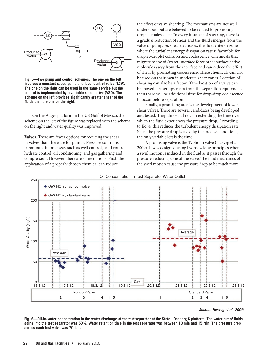

**Fig. 5—Two pump and control schemes. The one on the left involves a constant speed pump and level control valve (LCV). The one on the right can be used in the same service but the control is implemented by a variable speed drive (VSD). The scheme on the left provides significantly greater shear of the fluids than the one on the right.**

On the Auger platform in the US Gulf of Mexico, the scheme on the left of the figure was replaced with the scheme on the right and water quality was improved.

**Valves.** There are fewer options for reducing the shear in valves than there are for pumps. Pressure control is paramount in processes such as well control, sand control, hydrate control, oil conditioning, and gas gathering and compression. However, there are some options. First, the application of a properly chosen chemical can reduce

the effect of valve shearing. The mechanisms are not well understood but are believed to be related to promoting droplet coalescence. In every instance of shearing, there is a gradual reduction of shear and the fluid emerges from the valve or pump. As shear decreases, the fluid enters a zone where the turbulent energy dissipation rate is favorable for droplet-droplet collision and coalescence. Chemicals that migrate to the oil/water interface force other surface active molecules away from the interface and can reduce the effect of shear by promoting coalescence. These chemicals can also be used on their own in moderate shear zones. Location of shearing can also be a factor. If the location of a valve can be moved farther upstream from the separation equipment, then there will be additional time for drop-drop coalescence to occur before separation.

Finally, a promising area is the development of lowershear valves. There are several candidates being developed and tested. They almost all rely on extending the time over which the fluid experiences the pressure drop. According to Eq. 4, this reduces the turbulent energy dissipation rate. Since the pressure drop is fixed by the process conditions, the only variable left is the time.

A promising valve is the Typhoon valve (Husveg et al 2009). It was designed using hydrocyclone principles where a swirl motion is induced in the fluid as it passes through the pressure-reducing zone of the valve. The fluid mechanics of the swirl motion cause the pressure drop to be much more



#### Oil Concentration in Test Separator Water Outlet

#### **Source: Husveg et al. 2009.**

**Fig. 6—Oil-in-water concentration in the water discharge of the test separator at the Statoil Oseberg C platform. The water cut of fluids going into the test separator was 50%. Water retention time in the test separator was between 10 min and 15 min. The pressure drop across each test valve was 70 bar.**